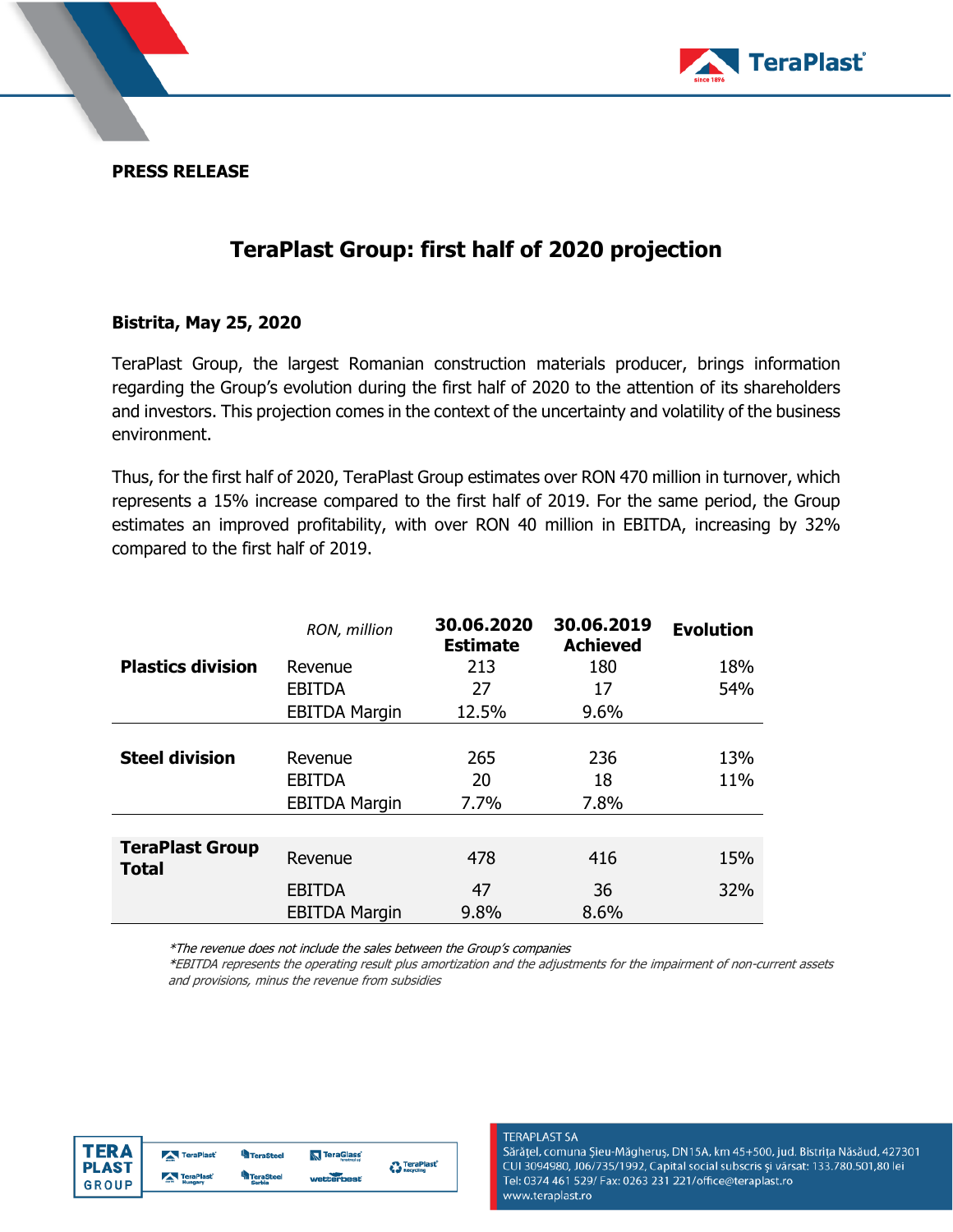

**PRESS RELEASE**

# **TeraPlast Group: first half of 2020 projection**

### **Bistrita, May 25, 2020**

TeraPlast Group, the largest Romanian construction materials producer, brings information regarding the Group's evolution during the first half of 2020 to the attention of its shareholders and investors. This projection comes in the context of the uncertainty and volatility of the business environment.

Thus, for the first half of 2020, TeraPlast Group estimates over RON 470 million in turnover, which represents a 15% increase compared to the first half of 2019. For the same period, the Group estimates an improved profitability, with over RON 40 million in EBITDA, increasing by 32% compared to the first half of 2019.

|                                        | RON, million         | 30.06.2020<br><b>Estimate</b> | 30.06.2019<br><b>Achieved</b> | <b>Evolution</b> |
|----------------------------------------|----------------------|-------------------------------|-------------------------------|------------------|
| <b>Plastics division</b>               | Revenue              | 213                           | 180                           | 18%              |
|                                        | <b>EBITDA</b>        | 27                            | 17                            | 54%              |
|                                        | <b>EBITDA Margin</b> | 12.5%                         | 9.6%                          |                  |
|                                        |                      |                               |                               |                  |
| <b>Steel division</b>                  | Revenue              | 265                           | 236                           | 13%              |
|                                        | <b>EBITDA</b>        | 20                            | 18                            | 11%              |
|                                        | <b>EBITDA Margin</b> | 7.7%                          | 7.8%                          |                  |
|                                        |                      |                               |                               |                  |
| <b>TeraPlast Group</b><br><b>Total</b> | Revenue              | 478                           | 416                           | 15%              |
|                                        | <b>EBITDA</b>        | 47                            | 36                            | 32%              |
|                                        | <b>EBITDA Margin</b> | 9.8%                          | 8.6%                          |                  |

\*The revenue does not include the sales between the Group's companies

\*EBITDA represents the operating result plus amortization and the adjustments for the impairment of non-current assets and provisions, minus the revenue from subsidies



#### **TERAPLAST SA**

Sărățel, comuna Șieu-Măgheruș, DN15A, km 45+500, jud. Bistrița Năsăud, 427301 CUI 3094980, J06/735/1992, Capital social subscris și vărsat: 133.780.501,80 lei Tel: 0374 461 529/ Fax: 0263 231 221/office@teraplast.ro www.teraplast.ro